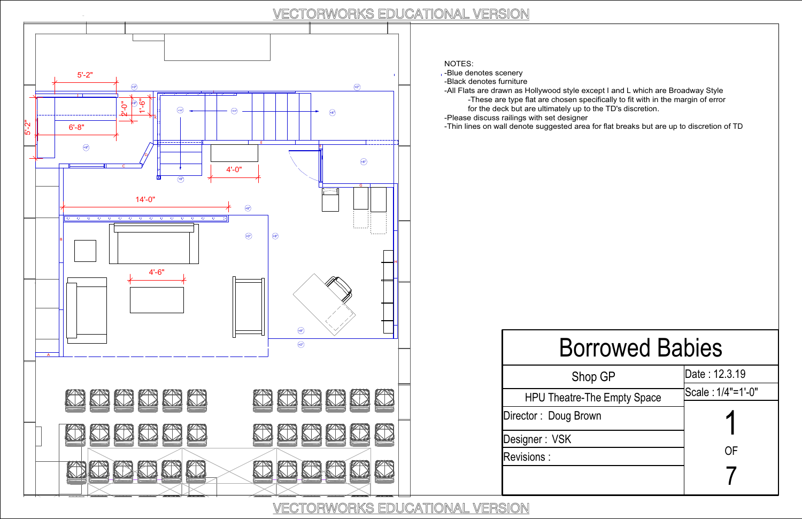#### NOTES:

-Blue denotes scenery

- -Black denotes furniture
- -All Flats are drawn as Hollywood style except I and L which are Broadway Style
	- for the deck but are ultimately up to the TD's discretion.
- -Please discuss railings with set designer

-These are type flat are chosen specifically to fit with in the margin of error



-Thin lines on wall denote suggested area for flat breaks but are up to discretion of TD

### Borrowed Babies



| p GP           | Date: 12.3.19     |
|----------------|-------------------|
| he Empty Space | Scale: 1/4"=1'-0" |
| wn             |                   |
|                | OF                |
|                |                   |

### VECTORWORKS EDUCATIONAL VERSION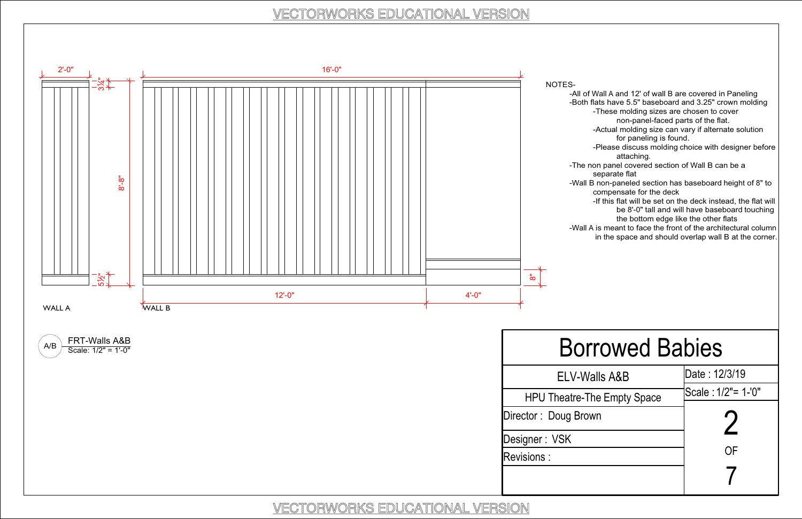-All of Wall A and 12' of wall B are covered in Paneling -Both flats have 5.5" baseboard and 3.25" crown molding

-These molding sizes are chosen to cover

non-panel-faced parts of the flat.

- -Actual molding size can vary if alternate solution for paneling is found.
- -Please discuss molding choice with designer before attaching.

-The non panel covered section of Wall B can be a separate flat



- -Wall B non-paneled section has baseboard height of 8" to compensate for the deck
	- -If this flat will be set on the deck instead, the flat will be 8'-0" tall and will have baseboard touching the bottom edge like the other flats
- -Wall A is meant to face the front of the architectural column in the space and should overlap wall B at the corner.

## Borrowed Babies

| 'alls A&B      | Date: 12/3/19      |
|----------------|--------------------|
| he Empty Space | Scale: 1/2"= 1-'0" |
| wn             |                    |
|                | ΟF                 |
|                |                    |

### VECTORWORKS EDUCATIONAL VERSION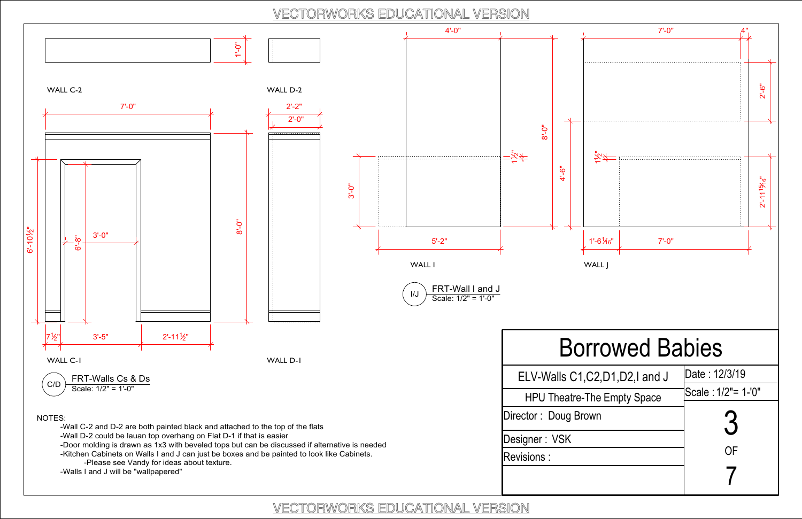

### VECTORWORKS EDUCATIONAL VERSION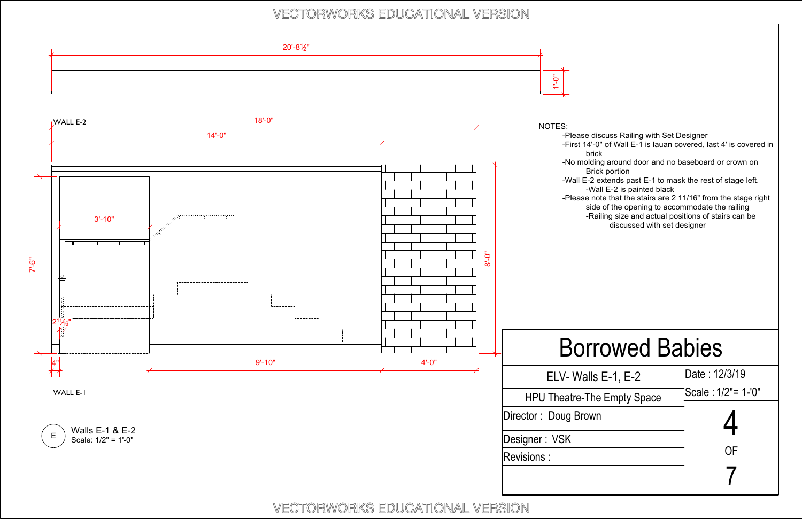-Please discuss Railing with Set Designer

-First 14'-0" of Wall E-1 is lauan covered, last 4' is covered in brick

-No molding around door and no baseboard or crown on Brick portion

-Wall E-2 extends past E-1 to mask the rest of stage left. -Wall E-2 is painted black



-Please note that the stairs are 2 11/16" from the stage right side of the opening to accommodate the railing -Railing size and actual positions of stairs can be

discussed with set designer

### Borrowed Babies

| lls E-1, E-2   | Date: 12/3/19      |
|----------------|--------------------|
| he Empty Space | Scale: 1/2"= 1-'0" |
| wn             | <u>Д</u>           |
|                | ΟF                 |
|                |                    |

### VECTORWORKS EDUCATIONAL VERSION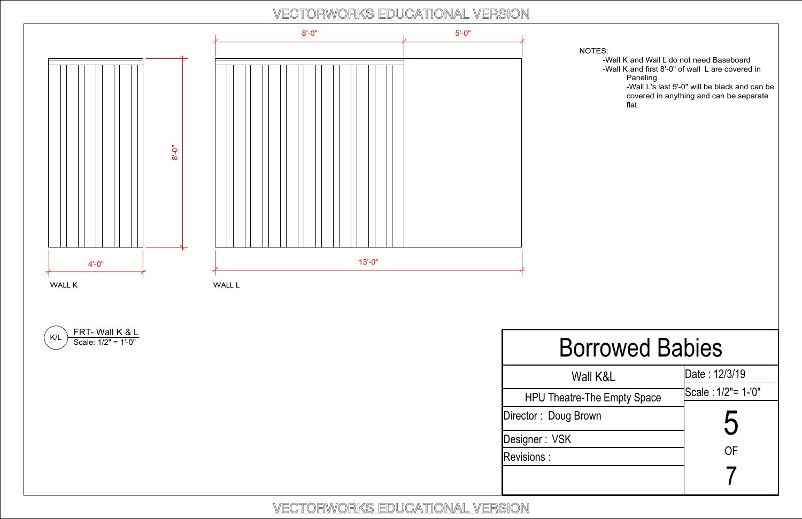NOTES:

-Wall K and Wall L do not need Baseboard -Wall K and first 8'-0" of wall L are covered in Paneling -Wall L's last 5'-0" will be black and can be covered in anything and can be separate flat



# Borrowed Babies

| II K&L                 | Date: 12/3/19      |
|------------------------|--------------------|
| <b>The Empty Space</b> | Scale: 1/2"= 1-'0" |
| wn                     | 5                  |
|                        | ΟF                 |
|                        |                    |

### VECTORWORKS EDUCATIONAL VERSION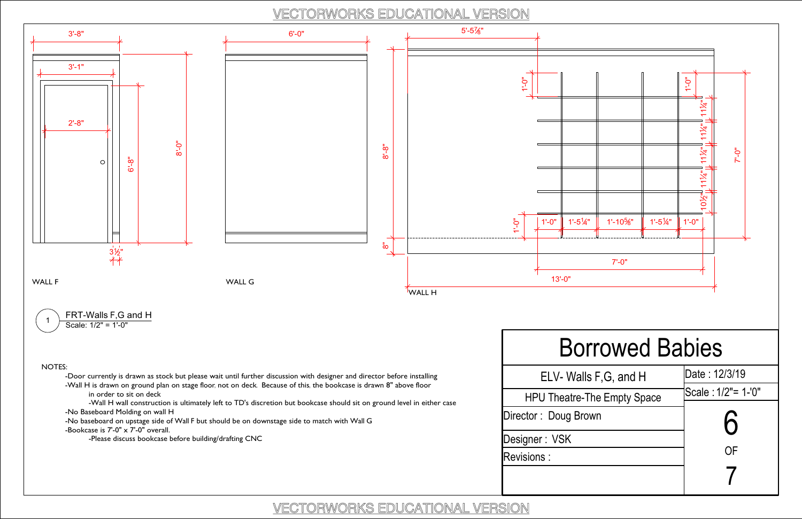VECTORWORKS EDUCATIONAL VERSION